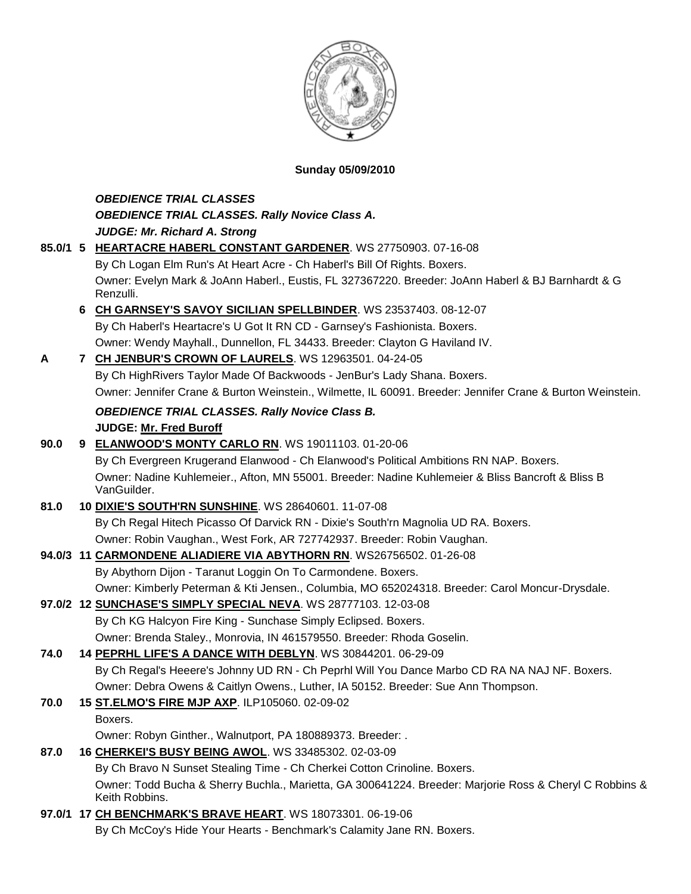

## **Sunday 05/09/2010**

## *OBEDIENCE TRIAL CLASSES OBEDIENCE TRIAL CLASSES. Rally Novice Class A. JUDGE: Mr. Richard A. Strong*

## **85.0/1 5 [HEARTACRE HABERL CONSTANT GARDENER](http://canis.infodog.com/files/bdogrsl1.prg;makc=WS_27750903;mdog=Heartacre_Haberl_Constant_Gardener;wins=all)**. WS 27750903. 07-16-08 By Ch Logan Elm Run's At Heart Acre - Ch Haberl's Bill Of Rights. Boxers. Owner: Evelyn Mark & JoAnn Haberl., Eustis, FL 327367220. Breeder: JoAnn Haberl & BJ Barnhardt & G Renzulli. **6 [CH GARNSEY'S SAVOY SICILIAN SPELLBINDER](http://canis.infodog.com/files/bdogrsl1.prg;makc=WS_23537403;mdog=Ch_Garnsey_s_Savoy_Sicilian_Spellbinder;wins=all)**. WS 23537403. 08-12-07 By Ch Haberl's Heartacre's U Got It RN CD - Garnsey's Fashionista. Boxers. Owner: Wendy Mayhall., Dunnellon, FL 34433. Breeder: Clayton G Haviland IV. **A 7 [CH JENBUR'S CROWN OF LAURELS](http://canis.infodog.com/files/bdogrsl1.prg;makc=WS_12963501;mdog=Ch_JenBur_s_Crown_Of_Laurels;wins=all)**. WS 12963501. 04-24-05 By Ch HighRivers Taylor Made Of Backwoods - JenBur's Lady Shana. Boxers. Owner: Jennifer Crane & Burton Weinstein., Wilmette, IL 60091. Breeder: Jennifer Crane & Burton Weinstein. *OBEDIENCE TRIAL CLASSES. Rally Novice Class B.* **JUDGE: [Mr. Fred Buroff](http://www.infodog.com/judges/5277/juddat.htm)  90.0 9 [ELANWOOD'S MONTY CARLO RN](http://canis.infodog.com/files/bdogrsl1.prg;makc=WS_19011103;mdog=Elanwood_s_Monty_Carlo_RN;wins=all)**. WS 19011103. 01-20-06 By Ch Evergreen Krugerand Elanwood - Ch Elanwood's Political Ambitions RN NAP. Boxers. Owner: Nadine Kuhlemeier., Afton, MN 55001. Breeder: Nadine Kuhlemeier & Bliss Bancroft & Bliss B VanGuilder. **81.0 10 [DIXIE'S SOUTH'RN SUNSHINE](http://canis.infodog.com/files/bdogrsl1.prg;makc=WS_28640601;mdog=Dixie_s_South_rn_Sunshine;wins=all)**. WS 28640601. 11-07-08 By Ch Regal Hitech Picasso Of Darvick RN - Dixie's South'rn Magnolia UD RA. Boxers. Owner: Robin Vaughan., West Fork, AR 727742937. Breeder: Robin Vaughan. **94.0/3 11 [CARMONDENE ALIADIERE VIA ABYTHORN RN](http://canis.infodog.com/files/bdogrsl1.prg;makc=WS26756502;mdog=Carmondene_Aliadiere_Via_Abythorn_RN;wins=all)**. WS26756502. 01-26-08 By Abythorn Dijon - Taranut Loggin On To Carmondene. Boxers. Owner: Kimberly Peterman & Kti Jensen., Columbia, MO 652024318. Breeder: Carol Moncur-Drysdale. **97.0/2 12 [SUNCHASE'S SIMPLY SPECIAL NEVA](http://canis.infodog.com/files/bdogrsl1.prg;makc=WS_28777103;mdog=Sunchase_s_Simply_Special_Neva;wins=all)**. WS 28777103. 12-03-08 By Ch KG Halcyon Fire King - Sunchase Simply Eclipsed. Boxers. Owner: Brenda Staley., Monrovia, IN 461579550. Breeder: Rhoda Goselin. **74.0 14 [PEPRHL LIFE'S A DANCE WITH DEBLYN](http://canis.infodog.com/files/bdogrsl1.prg;makc=WS_30844201;mdog=Peprhl_Life_s_A_Dance_With_DebLyn;wins=all)**. WS 30844201. 06-29-09 By Ch Regal's Heeere's Johnny UD RN - Ch Peprhl Will You Dance Marbo CD RA NA NAJ NF. Boxers. Owner: Debra Owens & Caitlyn Owens., Luther, IA 50152. Breeder: Sue Ann Thompson. **70.0 15 [ST.ELMO'S FIRE MJP AXP](http://canis.infodog.com/files/bdogrsl1.prg;makc=ILP105060;mdog=St.Elmo_s_Fire_MJP_AXP;wins=all)**. ILP105060. 02-09-02 Boxers. Owner: Robyn Ginther., Walnutport, PA 180889373. Breeder: . **87.0 16 [CHERKEI'S BUSY BEING AWOL](http://canis.infodog.com/files/bdogrsl1.prg;makc=WS_33485302;mdog=CherKei_s_Busy_Being_AWOL;wins=all)**. WS 33485302. 02-03-09 By Ch Bravo N Sunset Stealing Time - Ch Cherkei Cotton Crinoline. Boxers. Owner: Todd Bucha & Sherry Buchla., Marietta, GA 300641224. Breeder: Marjorie Ross & Cheryl C Robbins & Keith Robbins. **97.0/1 17 [CH BENCHMARK'S BRAVE HEART](http://canis.infodog.com/files/bdogrsl1.prg;makc=WS_18073301;mdog=Ch_Benchmark_s_Brave_Heart;wins=all)**. WS 18073301. 06-19-06 By Ch McCoy's Hide Your Hearts - Benchmark's Calamity Jane RN. Boxers.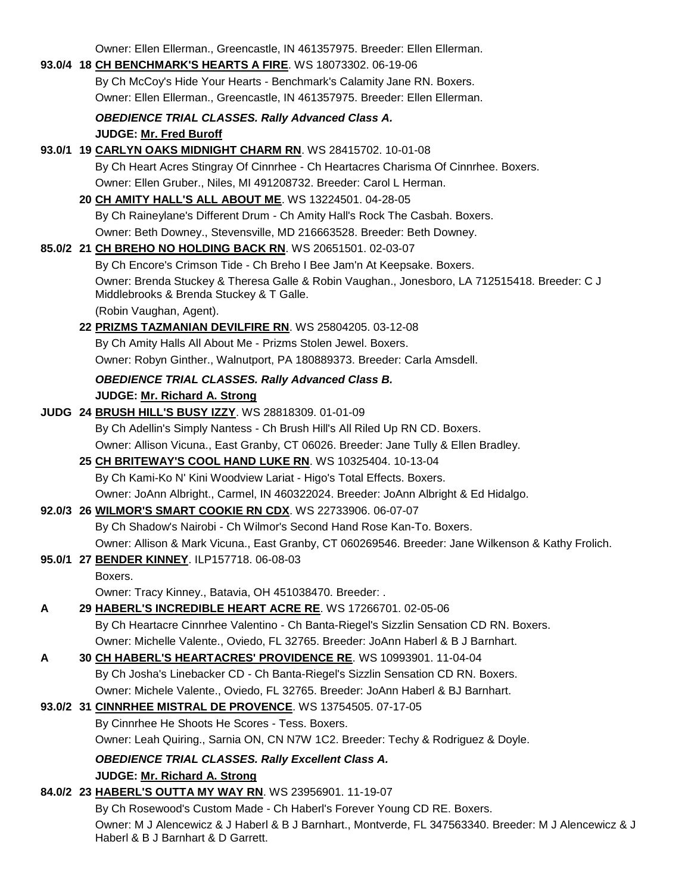Owner: Ellen Ellerman., Greencastle, IN 461357975. Breeder: Ellen Ellerman.

## **93.0/4 18 [CH BENCHMARK'S HEARTS A FIRE](http://canis.infodog.com/files/bdogrsl1.prg;makc=WS_18073302;mdog=Ch_Benchmark_s_Hearts_A_Fire;wins=all)**. WS 18073302. 06-19-06 By Ch McCoy's Hide Your Hearts - Benchmark's Calamity Jane RN. Boxers. Owner: Ellen Ellerman., Greencastle, IN 461357975. Breeder: Ellen Ellerman. *OBEDIENCE TRIAL CLASSES. Rally Advanced Class A.* **JUDGE: [Mr. Fred Buroff](http://www.infodog.com/judges/5277/juddat.htm)  93.0/1 19 [CARLYN OAKS MIDNIGHT CHARM RN](http://canis.infodog.com/files/bdogrsl1.prg;makc=WS_28415702;mdog=Carlyn_Oaks_Midnight_Charm_RN;wins=all)**. WS 28415702. 10-01-08 By Ch Heart Acres Stingray Of Cinnrhee - Ch Heartacres Charisma Of Cinnrhee. Boxers. Owner: Ellen Gruber., Niles, MI 491208732. Breeder: Carol L Herman. **20 [CH AMITY HALL'S ALL ABOUT ME](http://canis.infodog.com/files/bdogrsl1.prg;makc=WS_13224501;mdog=Ch_Amity_Hall_s_All_About_Me;wins=all)**. WS 13224501. 04-28-05 By Ch Raineylane's Different Drum - Ch Amity Hall's Rock The Casbah. Boxers. Owner: Beth Downey., Stevensville, MD 216663528. Breeder: Beth Downey. **85.0/2 21 [CH BREHO NO HOLDING BACK RN](http://canis.infodog.com/files/bdogrsl1.prg;makc=WS_20651501;mdog=Ch_Breho_No_Holding_Back_RN;wins=all)**. WS 20651501. 02-03-07 By Ch Encore's Crimson Tide - Ch Breho I Bee Jam'n At Keepsake. Boxers. Owner: Brenda Stuckey & Theresa Galle & Robin Vaughan., Jonesboro, LA 712515418. Breeder: C J Middlebrooks & Brenda Stuckey & T Galle. (Robin Vaughan, Agent). **22 [PRIZMS TAZMANIAN DEVILFIRE RN](http://canis.infodog.com/files/bdogrsl1.prg;makc=WS_25804205;mdog=Prizms_Tazmanian_DevilFire_RN;wins=all)**. WS 25804205. 03-12-08 By Ch Amity Halls All About Me - Prizms Stolen Jewel. Boxers. Owner: Robyn Ginther., Walnutport, PA 180889373. Breeder: Carla Amsdell. *OBEDIENCE TRIAL CLASSES. Rally Advanced Class B.* **JUDGE: [Mr. Richard A. Strong](http://www.infodog.com/judges/2197/juddat.htm)  JUDG 24 [BRUSH HILL'S BUSY IZZY](http://canis.infodog.com/files/bdogrsl1.prg;makc=WS_28818309;mdog=Brush_Hill_s_Busy_Izzy;wins=all)**. WS 28818309. 01-01-09 By Ch Adellin's Simply Nantess - Ch Brush Hill's All Riled Up RN CD. Boxers. Owner: Allison Vicuna., East Granby, CT 06026. Breeder: Jane Tully & Ellen Bradley. **25 [CH BRITEWAY'S COOL HAND LUKE RN](http://canis.infodog.com/files/bdogrsl1.prg;makc=WS_10325404;mdog=Ch_Briteway_s_Cool_Hand_Luke_RN;wins=all)**. WS 10325404. 10-13-04 By Ch Kami-Ko N' Kini Woodview Lariat - Higo's Total Effects. Boxers. Owner: JoAnn Albright., Carmel, IN 460322024. Breeder: JoAnn Albright & Ed Hidalgo. **92.0/3 26 [WILMOR'S SMART COOKIE RN CDX](http://canis.infodog.com/files/bdogrsl1.prg;makc=WS_22733906;mdog=Wilmor_s_Smart_Cookie_RN_CDX;wins=all)**. WS 22733906. 06-07-07 By Ch Shadow's Nairobi - Ch Wilmor's Second Hand Rose Kan-To. Boxers. Owner: Allison & Mark Vicuna., East Granby, CT 060269546. Breeder: Jane Wilkenson & Kathy Frolich. **95.0/1 27 [BENDER KINNEY](http://canis.infodog.com/files/bdogrsl1.prg;makc=ILP157718;mdog=Bender_Kinney;wins=all)**. ILP157718. 06-08-03 Boxers. Owner: Tracy Kinney., Batavia, OH 451038470. Breeder: . **A 29 [HABERL'S INCREDIBLE HEART ACRE RE](http://canis.infodog.com/files/bdogrsl1.prg;makc=WS_17266701;mdog=Haberl_s_Incredible_Heart_Acre_RE;wins=all)**. WS 17266701. 02-05-06 By Ch Heartacre Cinnrhee Valentino - Ch Banta-Riegel's Sizzlin Sensation CD RN. Boxers. Owner: Michelle Valente., Oviedo, FL 32765. Breeder: JoAnn Haberl & B J Barnhart. **A 30 [CH HABERL'S HEARTACRES' PROVIDENCE RE](http://canis.infodog.com/files/bdogrsl1.prg;makc=WS_10993901;mdog=Ch_Haberl_s_Heartacres__Providence_RE;wins=all)**. WS 10993901. 11-04-04 By Ch Josha's Linebacker CD - Ch Banta-Riegel's Sizzlin Sensation CD RN. Boxers. Owner: Michele Valente., Oviedo, FL 32765. Breeder: JoAnn Haberl & BJ Barnhart. **93.0/2 31 [CINNRHEE MISTRAL DE PROVENCE](http://canis.infodog.com/files/bdogrsl1.prg;makc=WS_13754505;mdog=Cinnrhee_Mistral_De_Provence;wins=all)**. WS 13754505. 07-17-05 By Cinnrhee He Shoots He Scores - Tess. Boxers. Owner: Leah Quiring., Sarnia ON, CN N7W 1C2. Breeder: Techy & Rodriguez & Doyle. *OBEDIENCE TRIAL CLASSES. Rally Excellent Class A.* **JUDGE: [Mr. Richard A. Strong](http://www.infodog.com/judges/2197/juddat.htm)  84.0/2 23 [HABERL'S OUTTA MY WAY RN](http://canis.infodog.com/files/bdogrsl1.prg;makc=WS_23956901;mdog=Haberl_s_Outta_My_Way_RN;wins=all)**. WS 23956901. 11-19-07 By Ch Rosewood's Custom Made - Ch Haberl's Forever Young CD RE. Boxers. Owner: M J Alencewicz & J Haberl & B J Barnhart., Montverde, FL 347563340. Breeder: M J Alencewicz & J

Haberl & B J Barnhart & D Garrett.